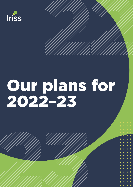

## Our plans for 2022–23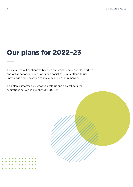## Our plans for 2022–23

This year we will continue to build on our work to help people, workers and organisations in social work and social care in Scotland to use knowledge and innovation to make positive change happen.

This plan is informed by what you told us and also reflects the aspirations set out in our strategy 2021–24.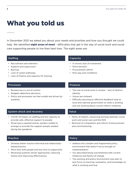## What you told us

In December 2021 we asked you about your needs and priorities and how you thought we could help. We identified **eight areas of need** – difficulties that get in the way of social work and social care supporting people to live their best lives. The eight areas are:

#### Staffing

- Recruitment and retention
- Support and supervision
- Burnout
- Lack of career pathways
- Lack of finance and capacity for training

#### Processes

- Bureaucracy is out of control
- Budgets determine decisions

System shock and recovery

during the pandemic

• Policy and processes can feel unsafe and driven by austerity

• COVID-19 impact on staffing and the capacity to provide safe, effective support to people • Moral injury experienced by workers unable to arrange or provide the support people needed

#### Capacity

- A chronic lack of investment
- Short-termism
- Procurement reform
- Poor pay and conditions

#### Purpose

- The role of social work is unclear lack of distinct identity
- Voices are unheard
- Difficulty securing an effective feedback loop to local and national government on what is working and not working about current reform initiatives

#### Value

- Parity of esteem, resourcing and pay between social work and social care and the NHS
- Removal of competition and reform of procurement and commissioning

#### Practice

- Develop better trauma-informed and relationshipbased practice
- More time with people and less time on paperwork
- Reversing austerity driven approaches; reducing shame and improving effectiveness

#### Policy

- Address the complex and fragmented policy environment that doesn't focus enough on implementation
- You described being overwhelmed with current initiatives and fearful of change
- The working and policy environment was seen to lack focus on learning, evaluation, and knowledge on what is working and how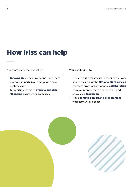## How Iriss can help

You want us to focus most on:

 $\sim$ 

- Innovation in social work and social care support, in particular change at whole system level
- Supporting teams to *improve practice*
- Changing social work processes

You also told us to:

- Think through the implications for social work and social care of the **National Care Service**
- Do more cross-organisational collaboration
- Develop more effective social work and social care leadership
- Make commissioning and procurement work better for people

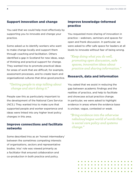#### Support innovation and change

You said that we could help most effectively by supporting you to innovate and change your practice.

Some asked us to identify workers who want to make change locally and support them through coaching and facilitation. Others identified a gap in Scotland for new ideas, ways of thinking and practical support for change. They wanted Iriss to promote practical ideas for areas of work that are difficult, for example, assessment processes, and to create team and organisational cultures that drive good practice.

#### *"Getting people to stop talking about change and start doing it."*

People saw this as particularly important to the development of the National Care Service (NCS.) They wanted Iriss to make sure that supported people and worker experience and ideas were linked into any higher level policy changes in this area.

#### Improve connections and facilitate networks

Some described Iriss as an 'honest intermediary' between the sometimes competing interests of organisations, sectors and representative bodies. Iriss' role was viewed primarily as a facilitator that ensured collaboration and co-production in both practice and policy.

### Improve knowledge-informed practice

You requested more sharing of innovation in practice – webinars, seminars and spaces for open and frank discussion. In particular, we were asked to offer safe space for leaders at all levels to innovate without fear of being wrong.

*"Keep doing what you do well, promoting open discussion, safe spaces, innovative ideas about practice and sharing information."*

#### Research, data and information

You asked that we assist in reducing the gap between academic findings and the realities of practice, and help to facilitate and showcase actual practice change. In particular, we were asked to highlight evidence in areas where the evidence base is unclear, vague, contested or weak.

*"Bring evidence into the otherwise nebulous/vague world of words that is social care policy and systems change."*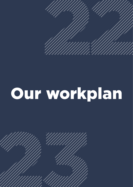

## Our workplan

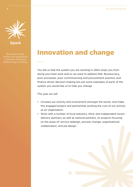

We support people, workers and organisations to innovate and explore

## Innovation and change

You tell us that the system you are working in often stops you from doing your best work and so we want to address that. Bureaucracy, poor processes, poor commissioning and procurement practice, and finance driven decision-making are just some examples of parts of the system you would like us to help you change.

This year we will:

- Increase our activity and involvement amongst the sector, and make this engaged project and partnership working the core of our activity as an organisation.
- Work with a number of local statutory, third, and independent sector delivery partners, as well as national partners, on projects focusing on the areas of: service redesign, process change, organisational collaboration, and job design.

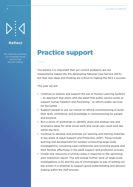### **Reflect**

We create the conditions for knowledge-based practice and decision making.

## Practice support

You believe it is important that our current problems are not inadvertently baked into the developing National Care Service (NCS), but that new ideas and thinking are critical to making the NCS a success.

This year we will:

- Continue to explore and support the use of Human Learning Systems – an approach that starts with the belief that public service exists to support human freedom and flourishing – to reform public services for the better.
- Support people to use our course on ethical commissioning to build their skills, confidence and knowledge in commissioning for people and purpose.
- Run a series of workshops to identify, share and analyse new and innovative ideas for what social work and social care could look like within the NCS.
- Continue to develop and promote our learning and training materials in key areas of Adult Support and Protection (ASP). These include learning and development for workers conducting large-scale investigations; convening case conferences and involving people and their families effectively in the adult support and protection process.
- Create new resources in priority areas in response to the upcoming joint inspection report. This will include further work on large-scale investigations (LSI) and the use of chronologies (a way of setting out key events in a timeline) to support good understanding and decision making within the ASP process.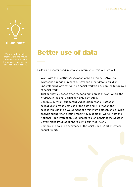## Better use of data

Building on sector need in data and information, this year we will:

- Work with the Scottish Association of Social Work (SASW) to synthesise a range of recent surveys and other data to build an understanding of what will help social workers develop the future role of social work.
- Trial our new evidence offer, responding to areas of work where the evidence is lacking, partial or highly contested.
- Continue our work supporting Adult Support and Protection colleagues to make best use of the data and information they collect through the development of a minimum dataset, and provide analysis support for existing reporting. In addition, we will host the National Adult Protection Coordinator role on behalf of the Scottish Government, integrating the role into our wider work.
- Compile and collate a summary of the Chief Social Worker Officer annual reports.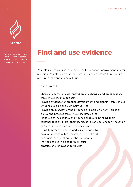

We bring different types of knowledge together, making it accessible and useable for workers.

## Find and use evidence

You told us that you use Iriss' resources for practice improvement and for planning. You also said that there was more we could do to make our resources relevant and easy to use.

This year we will:

- Share and communicate innovation and change, and practice ideas through our Iriss.fm podcast.
- Provide evidence for practice development and planning through our Evidence Search and Summary Service.
- Provide an overview of the evidence available on priority areas of policy and practice through our Insights series.
- Make use of Iriss' legacy of evidence products, bringing them together to identify key themes, messages and actions for innovation and change in social work and social care.
- Bring together interested and skilled people to develop a strategy for innovation in social work and social care, setting out the conditions we need to put in place for high-quality practice and innovation to flourish.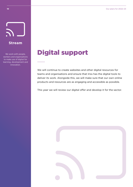# **Stream**

We work with people, workers and organisations to make use of digital for learning, development and innovation.

## Digital support

We will continue to create websites and other digital resources for teams and organisations and ensure that Iriss has the digital tools to deliver its work. Alongside this, we will make sure that our own online products and resources are as engaging and accessible as possible.

This year we will review our digital offer and develop it for the sector.

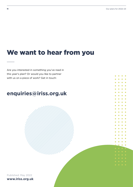$\bullet$ 

## We want to hear from you

Are you interested in something you've read in this year's plan? Or would you like to partner with us on a piece of work? Get in touch:

### **[enquiries@iriss.org.uk](mailto:enquiries%40iriss.org.uk?subject=Iriss%20strategy)**

Published: May 2022 **[www.iriss.org.uk](http://www.iriss.org.uk)**